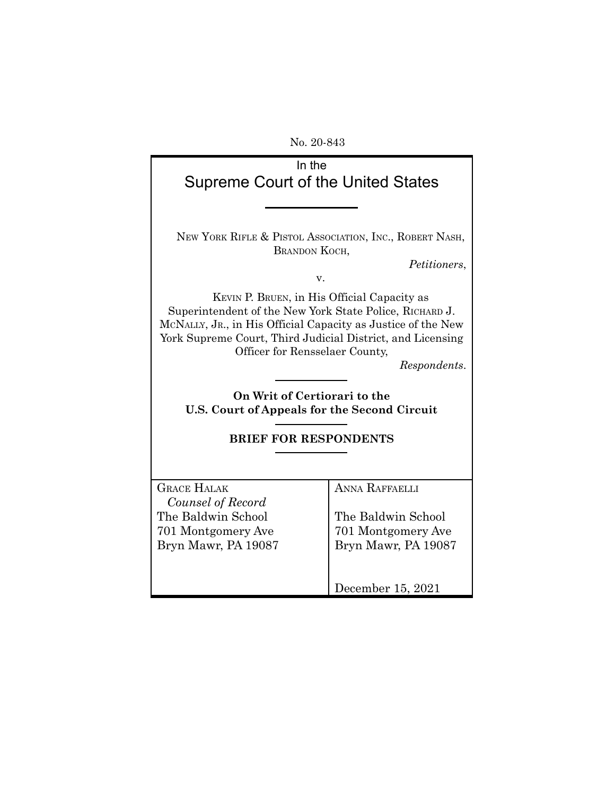No. 20-843

| In the<br>Supreme Court of the United States                                                                                                                                                                                                                                           |                                                                                          |  |
|----------------------------------------------------------------------------------------------------------------------------------------------------------------------------------------------------------------------------------------------------------------------------------------|------------------------------------------------------------------------------------------|--|
| NEW YORK RIFLE & PISTOL ASSOCIATION, INC., ROBERT NASH,<br>BRANDON KOCH,<br>Petitioners.<br>v.                                                                                                                                                                                         |                                                                                          |  |
| KEVIN P. BRUEN, in His Official Capacity as<br>Superintendent of the New York State Police, RICHARD J.<br>MCNALLY, JR., in His Official Capacity as Justice of the New<br>York Supreme Court, Third Judicial District, and Licensing<br>Officer for Rensselaer County,<br>Respondents. |                                                                                          |  |
| On Writ of Certiorari to the<br>U.S. Court of Appeals for the Second Circuit                                                                                                                                                                                                           |                                                                                          |  |
| <b>BRIEF FOR RESPONDENTS</b>                                                                                                                                                                                                                                                           |                                                                                          |  |
| <b>GRACE HALAK</b><br>Counsel of Record<br>The Baldwin School<br>701 Montgomery Ave<br>Bryn Mawr, PA 19087                                                                                                                                                                             | <b>ANNA RAFFAELLI</b><br>The Baldwin School<br>701 Montgomery Ave<br>Bryn Mawr, PA 19087 |  |
|                                                                                                                                                                                                                                                                                        | December 15, 2021                                                                        |  |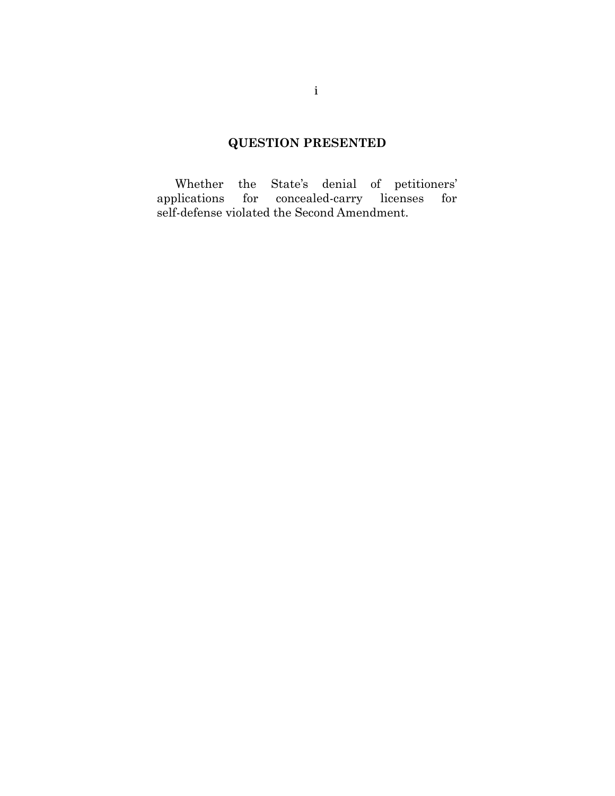# **QUESTION PRESENTED**

Whether the State's denial of petitioners' applications for concealed-carry licenses for self-defense violated the Second Amendment.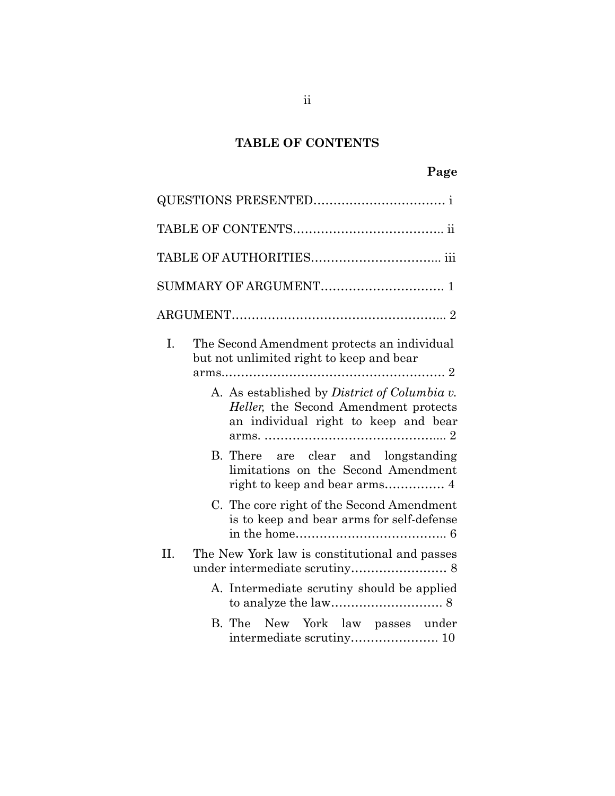# **TABLE OF CONTENTS**

| L.<br>The Second Amendment protects an individual<br>but not unlimited right to keep and bear                                         |
|---------------------------------------------------------------------------------------------------------------------------------------|
| A. As established by <i>District of Columbia v</i> .<br>Heller, the Second Amendment protects<br>an individual right to keep and bear |
| B. There are clear and longstanding<br>limitations on the Second Amendment                                                            |
| C. The core right of the Second Amendment<br>is to keep and bear arms for self-defense                                                |
| H.<br>The New York law is constitutional and passes                                                                                   |
| A. Intermediate scrutiny should be applied                                                                                            |
| B. The New York law passes under                                                                                                      |

ii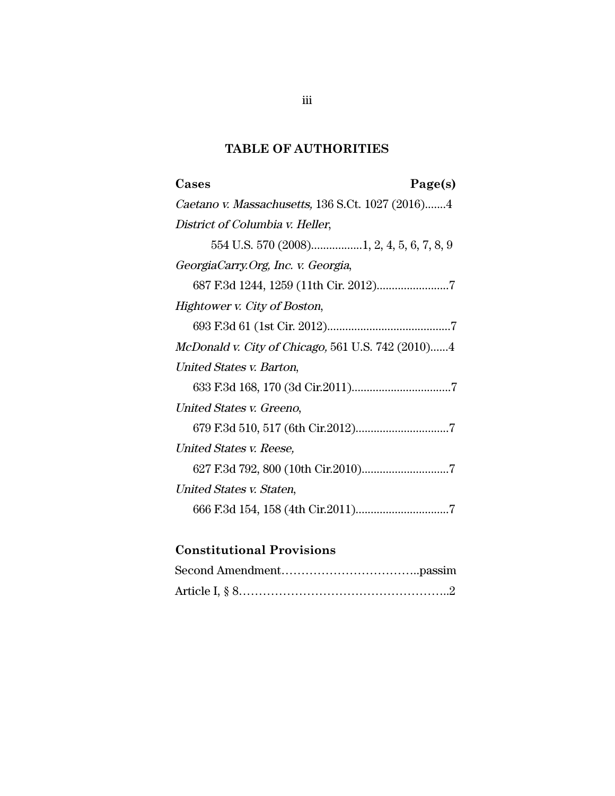# **TABLE OF AUTHORITIES**

| Cases<br>Page(s)                                         |
|----------------------------------------------------------|
| Caetano v. Massachusetts, 136 S.Ct. 1027 (2016)4         |
| District of Columbia v. Heller,                          |
|                                                          |
| GeorgiaCarry.Org, Inc. v. Georgia,                       |
|                                                          |
| Hightower v. City of Boston,                             |
|                                                          |
| <i>McDonald v. City of Chicago, 561 U.S. 742 (2010)4</i> |
| United States v. Barton,                                 |
|                                                          |
| United States v. Greeno,                                 |
|                                                          |
| United States v. Reese,                                  |
|                                                          |
| United States v. Staten,                                 |
|                                                          |

# **Constitutional Provisions**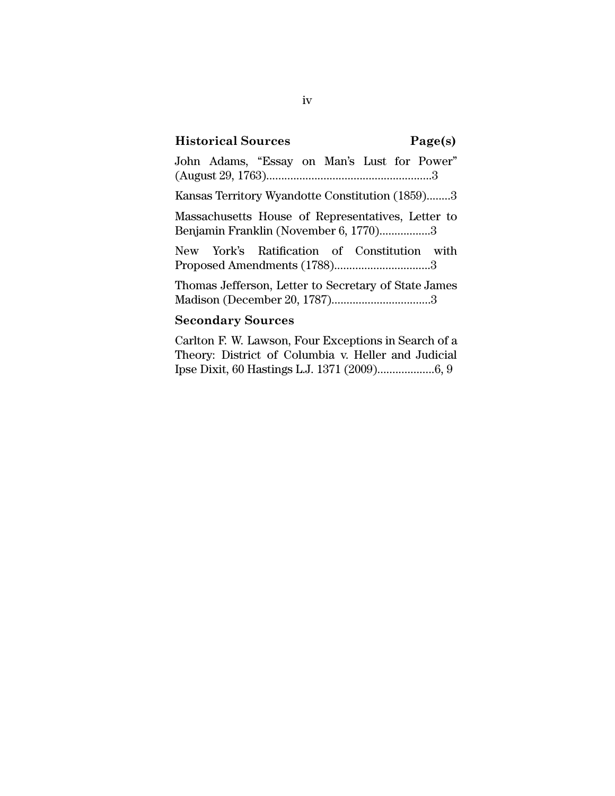## **Historical Sources Page(s)**

John Adams, "Essay on Man's Lust for Power" (August 29, 1763).......................................................3

Kansas Territory Wyandotte Constitution (1859)........3

Massachusetts House of Representatives, Letter to Benjamin Franklin (November 6, 1770).................3

New York's Ratification of Constitution with Proposed Amendments (1788)................................3

Thomas Jefferson, Letter to Secretary of State James Madison (December 20, 1787).................................3

#### **Secondary Sources**

Carlton F. W. Lawson, Four Exceptions in Search of a Theory: District of Columbia v. Heller and Judicial Ipse Dixit, 60 Hastings L.J. 1371 (2009)...................6, 9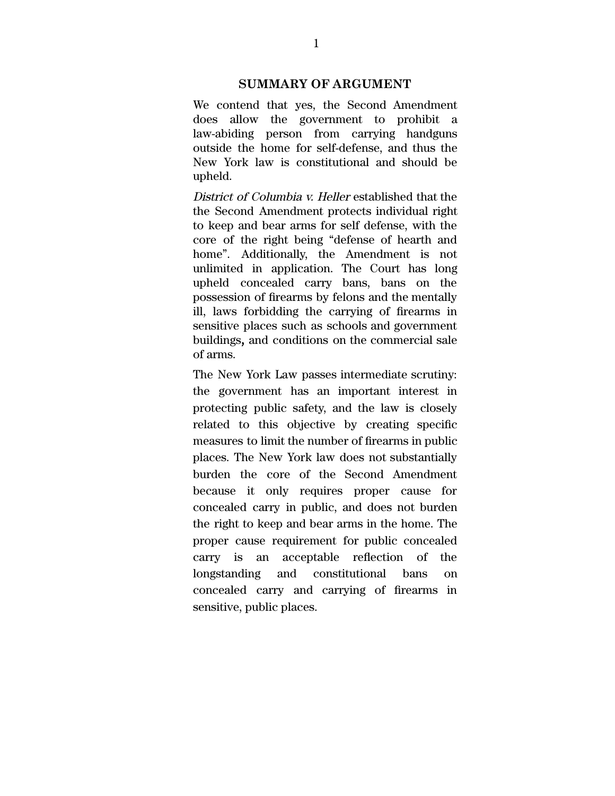## **SUMMARY OF ARGUMENT**

We contend that yes, the Second Amendment does allow the government to prohibit a law-abiding person from carrying handguns outside the home for self-defense, and thus the New York law is constitutional and should be upheld.

District of Columbia v. Heller established that the the Second Amendment protects individual right to keep and bear arms for self defense, with the core of the right being "defense of hearth and home". Additionally, the Amendment is not unlimited in application. The Court has long upheld concealed carry bans, bans on the possession of firearms by felons and the mentally ill, laws forbidding the carrying of firearms in sensitive places such as schools and government buildings, and conditions on the commercial sale of arms.

The New York Law passes intermediate scrutiny: the government has an important interest in protecting public safety, and the law is closely related to this objective by creating specific measures to limit the number of firearms in public places. The New York law does not substantially burden the core of the Second Amendment because it only requires proper cause for concealed carry in public, and does not burden the right to keep and bear arms in the home. The proper cause requirement for public concealed carry is an acceptable reflection of the longstanding and constitutional bans on concealed carry and carrying of firearms in sensitive, public places.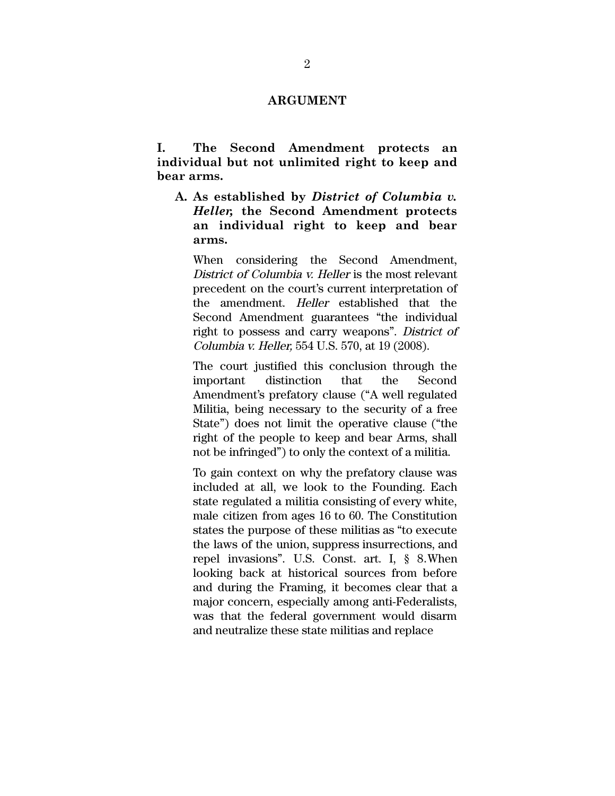#### **ARGUMENT**

**I. The Second Amendment protects an individual but not unlimited right to keep and bear arms.**

**A. As established by** *District of Columbia v. Heller,* **the Second Amendment protects an individual right to keep and bear arms.**

When considering the Second Amendment, District of Columbia v. Heller is the most relevant precedent on the court's current interpretation of the amendment. Heller established that the Second Amendment guarantees "the individual right to possess and carry weapons". District of Columbia v. Heller, 554 U.S. 570, at 19 (2008).

The court justified this conclusion through the important distinction that the Second Amendment's prefatory clause ("A well regulated Militia, being necessary to the security of a free State") does not limit the operative clause ("the right of the people to keep and bear Arms, shall not be infringed") to only the context of a militia.

To gain context on why the prefatory clause was included at all, we look to the Founding. Each state regulated a militia consisting of every white, male citizen from ages 16 to 60. The Constitution states the purpose of these militias as "to execute the laws of the union, suppress insurrections, and repel invasions". U.S. Const. art. I, § 8.When looking back at historical sources from before and during the Framing, it becomes clear that a major concern, especially among anti-Federalists, was that the federal government would disarm and neutralize these state militias and replace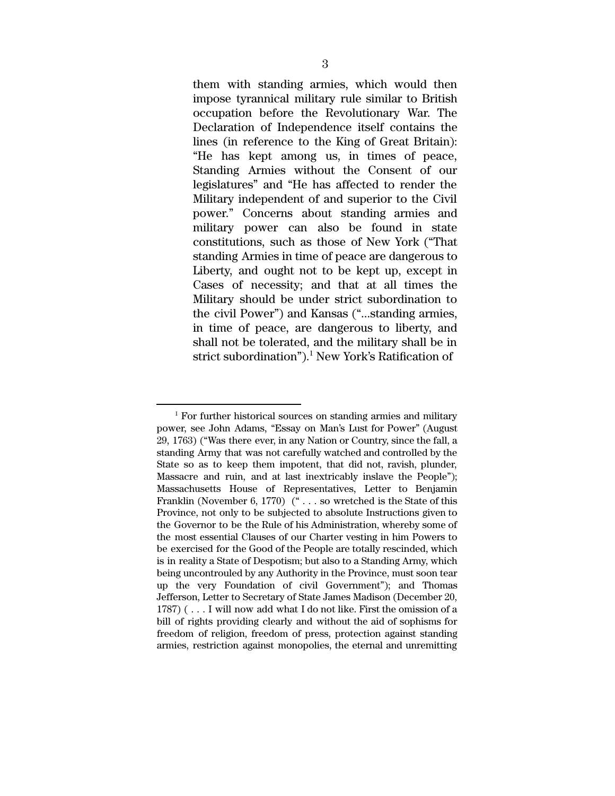them with standing armies, which would then impose tyrannical military rule similar to British occupation before the Revolutionary War. The Declaration of Independence itself contains the lines (in reference to the King of Great Britain): "He has kept among us, in times of peace, Standing Armies without the Consent of our legislatures" and "He has affected to render the Military independent of and superior to the Civil power." Concerns about standing armies and military power can also be found in state constitutions, such as those of New York ("That standing Armies in time of peace are dangerous to Liberty, and ought not to be kept up, except in Cases of necessity; and that at all times the Military should be under strict subordination to the civil Power") and Kansas ("...standing armies, in time of peace, are dangerous to liberty, and shall not be tolerated, and the military shall be in strict subordination"). $^1$  New York's Ratification of

 $1$  For further historical sources on standing armies and military power, see John Adams, "Essay on Man's Lust for Power" (August 29, 1763) ("Was there ever, in any Nation or Country, since the fall, a standing Army that was not carefully watched and controlled by the State so as to keep them impotent, that did not, ravish, plunder, Massacre and ruin, and at last inextricably inslave the People"); Massachusetts House of Representatives, Letter to Benjamin Franklin (November 6, 1770) (" . . . so wretched is the State of this Province, not only to be subjected to absolute Instructions given to the Governor to be the Rule of his Administration, whereby some of the most essential Clauses of our Charter vesting in him Powers to be exercised for the Good of the People are totally rescinded, which is in reality a State of Despotism; but also to a Standing Army, which being uncontrouled by any Authority in the Province, must soon tear up the very Foundation of civil Government"); and Thomas Jefferson, Letter to Secretary of State James Madison (December 20, 1787) ( . . . I will now add what I do not like. First the omission of a bill of rights providing clearly and without the aid of sophisms for freedom of religion, freedom of press, protection against standing armies, restriction against monopolies, the eternal and unremitting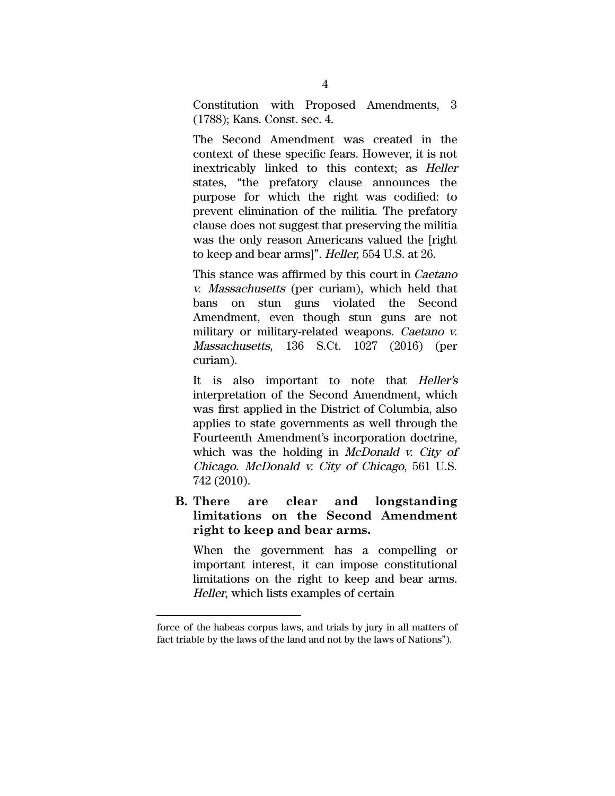Constitution with Proposed Amendments, 3 (1788); Kans. Const. sec. 4.

The Second Amendment was created in the context of these specific fears. However, it is not inextricably linked to this context; as Heller states, "the prefatory clause announces the purpose for which the right was codified: to prevent elimination of the militia. The prefatory clause does not suggest that preserving the militia was the only reason Americans valued the [right to keep and bear arms]". Heller, 554 U.S. at 26.

This stance was affirmed by this court in Caetano v. Massachusetts (per curiam), which held that bans on stun guns violated the Second Amendment, even though stun guns are not military or military-related weapons. Caetano v. Massachusetts, 136 S.Ct. 1027 (2016) (per curiam).

It is also important to note that Heller's interpretation of the Second Amendment, which was first applied in the District of Columbia, also applies to state governments as well through the Fourteenth Amendment's incorporation doctrine, which was the holding in *McDonald v. City of* Chicago. McDonald v. City of Chicago, 561 U.S. 742 (2010).

**B. There are clear and longstanding limitations on the Second Amendment right to keep and bear arms.**

When the government has a compelling or important interest, it can impose constitutional limitations on the right to keep and bear arms. Heller, which lists examples of certain

force of the habeas corpus laws, and trials by jury in all matters of fact triable by the laws of the land and not by the laws of Nations").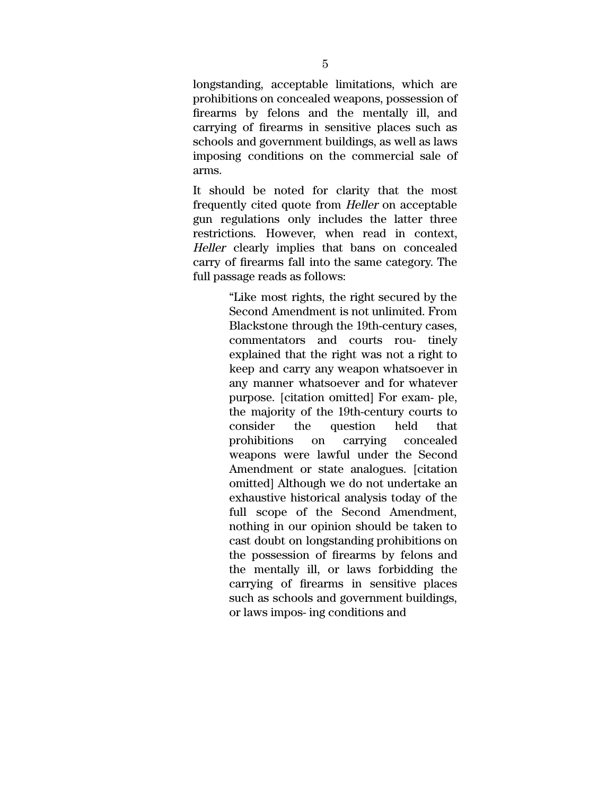longstanding, acceptable limitations, which are prohibitions on concealed weapons, possession of firearms by felons and the mentally ill, and carrying of firearms in sensitive places such as schools and government buildings, as well as laws imposing conditions on the commercial sale of arms.

It should be noted for clarity that the most frequently cited quote from Heller on acceptable gun regulations only includes the latter three restrictions. However, when read in context, Heller clearly implies that bans on concealed carry of firearms fall into the same category. The full passage reads as follows:

> "Like most rights, the right secured by the Second Amendment is not unlimited. From Blackstone through the 19th-century cases, commentators and courts rou- tinely explained that the right was not a right to keep and carry any weapon whatsoever in any manner whatsoever and for whatever purpose. [citation omitted] For exam- ple, the majority of the 19th-century courts to consider the question held that prohibitions on carrying concealed weapons were lawful under the Second Amendment or state analogues. [citation omitted] Although we do not undertake an exhaustive historical analysis today of the full scope of the Second Amendment, nothing in our opinion should be taken to cast doubt on longstanding prohibitions on the possession of firearms by felons and the mentally ill, or laws forbidding the carrying of firearms in sensitive places such as schools and government buildings, or laws impos- ing conditions and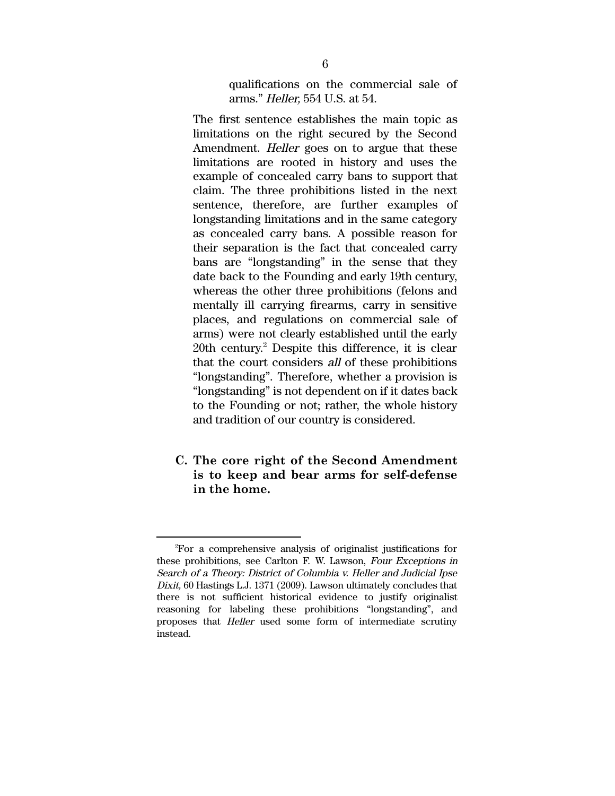qualifications on the commercial sale of arms." Heller, 554 U.S. at 54.

The first sentence establishes the main topic as limitations on the right secured by the Second Amendment. Heller goes on to argue that these limitations are rooted in history and uses the example of concealed carry bans to support that claim. The three prohibitions listed in the next sentence, therefore, are further examples of longstanding limitations and in the same category as concealed carry bans. A possible reason for their separation is the fact that concealed carry bans are "longstanding" in the sense that they date back to the Founding and early 19th century, whereas the other three prohibitions (felons and mentally ill carrying firearms, carry in sensitive places, and regulations on commercial sale of arms) were not clearly established until the early  $20th$  century.<sup>2</sup> Despite this difference, it is clear that the court considers all of these prohibitions "longstanding". Therefore, whether a provision is "longstanding" is not dependent on if it dates back to the Founding or not; rather, the whole history and tradition of our country is considered.

**C. The core right of the Second Amendment is to keep and bear arms for self-defense in the home.**

<sup>2</sup>For a comprehensive analysis of originalist justifications for these prohibitions, see Carlton F. W. Lawson, Four Exceptions in Search of <sup>a</sup> Theory: District of Columbia v. Heller and Judicial Ipse Dixit, 60 Hastings L.J. 1371 (2009). Lawson ultimately concludes that there is not sufficient historical evidence to justify originalist reasoning for labeling these prohibitions "longstanding", and proposes that Heller used some form of intermediate scrutiny instead.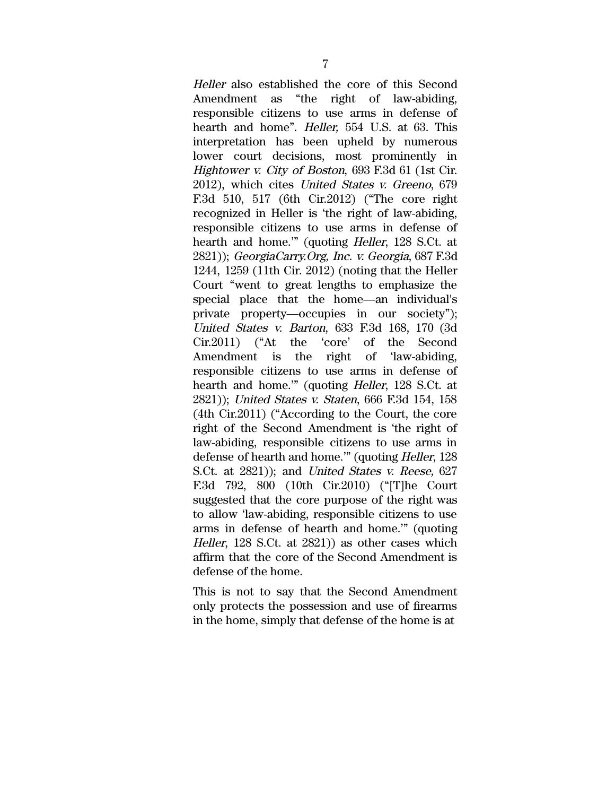Heller also established the core of this Second Amendment as "the right of law-abiding, responsible citizens to use arms in defense of hearth and home". Heller, 554 U.S. at 63. This interpretation has been upheld by numerous lower court decisions, most prominently in Hightower v. City of Boston, 693 F.3d 61 (1st Cir. 2012), which cites United States v. Greeno, 679 F.3d 510, 517 (6th Cir.2012) ("The core right recognized in Heller is 'the right of law-abiding, responsible citizens to use arms in defense of hearth and home.'" (quoting Heller, 128 S.Ct. at 2821)); GeorgiaCarry.Org, Inc. v. Georgia, 687 F.3d 1244, 1259 (11th Cir. 2012) (noting that the Heller Court "went to great lengths to emphasize the special place that the home—an individual's private property—occupies in our society"); United States v. Barton, 633 F.3d 168, 170 (3d Cir.2011) ("At the 'core' of the Second Amendment is the right of 'law-abiding, responsible citizens to use arms in defense of hearth and home.'" (quoting Heller, 128 S.Ct. at 2821)); United States v. Staten, 666 F.3d 154, 158 (4th Cir.2011) ("According to the Court, the core right of the Second Amendment is 'the right of law-abiding, responsible citizens to use arms in defense of hearth and home.'" (quoting Heller, 128 S.Ct. at 2821)); and United States v. Reese, 627 F.3d 792, 800 (10th Cir.2010) ("[T]he Court suggested that the core purpose of the right was to allow 'law-abiding, responsible citizens to use arms in defense of hearth and home.'" (quoting Heller, 128 S.Ct. at 2821)) as other cases which affirm that the core of the Second Amendment is defense of the home.

This is not to say that the Second Amendment only protects the possession and use of firearms in the home, simply that defense of the home is at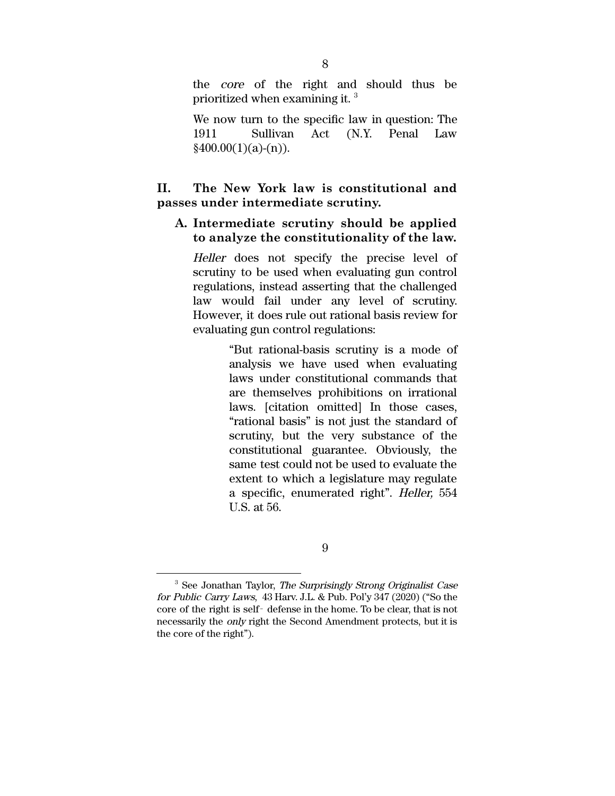the core of the right and should thus be prioritized when examining it.  $^3$ 

We now turn to the specific law in question: The 1911 Sullivan Act (N.Y. Penal Law  $\frac{$400.00(1)(a)-(n)}{2}$ .

## **II. The New York law is constitutional and passes under intermediate scrutiny.**

## **A. Intermediate scrutiny should be applied to analyze the constitutionality of the law.**

Heller does not specify the precise level of scrutiny to be used when evaluating gun control regulations, instead asserting that the challenged law would fail under any level of scrutiny. However, it does rule out rational basis review for evaluating gun control regulations:

> "But rational-basis scrutiny is a mode of analysis we have used when evaluating laws under constitutional commands that are themselves prohibitions on irrational laws. [citation omitted] In those cases, "rational basis" is not just the standard of scrutiny, but the very substance of the constitutional guarantee. Obviously, the same test could not be used to evaluate the extent to which a legislature may regulate a specific, enumerated right". Heller, 554 U.S. at 56.

<sup>&</sup>lt;sup>3</sup> See Jonathan Taylor, *The Surprisingly Strong Originalist Case* for Public Carry Laws, 43 Harv. J.L. & Pub. Pol'y 347 (2020) ("So the core of the right is self‐ defense in the home. To be clear, that is not necessarily the only right the Second Amendment protects, but it is the core of the right").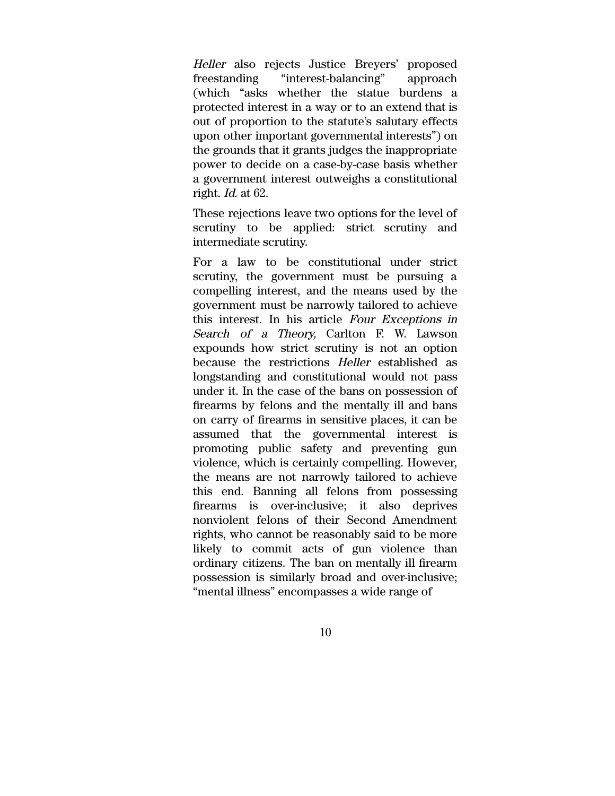Heller also rejects Justice Breyers' proposed freestanding "interest-balancing" approach (which "asks whether the statue burdens a protected interest in a way or to an extend that is out of proportion to the statute's salutary effects upon other important governmental interests") on the grounds that it grants judges the inappropriate power to decide on a case-by-case basis whether a government interest outweighs a constitutional right. Id. at 62.

These rejections leave two options for the level of scrutiny to be applied: strict scrutiny and intermediate scrutiny.

For a law to be constitutional under strict scrutiny, the government must be pursuing a compelling interest, and the means used by the government must be narrowly tailored to achieve this interest. In his article Four Exceptions in Search of <sup>a</sup> Theory, Carlton F. W. Lawson expounds how strict scrutiny is not an option because the restrictions Heller established as longstanding and constitutional would not pass under it. In the case of the bans on possession of firearms by felons and the mentally ill and bans on carry of firearms in sensitive places, it can be assumed that the governmental interest is promoting public safety and preventing gun violence, which is certainly compelling. However, the means are not narrowly tailored to achieve this end. Banning all felons from possessing firearms is over-inclusive; it also deprives nonviolent felons of their Second Amendment rights, who cannot be reasonably said to be more likely to commit acts of gun violence than ordinary citizens. The ban on mentally ill firearm possession is similarly broad and over-inclusive; "mental illness" encompasses a wide range of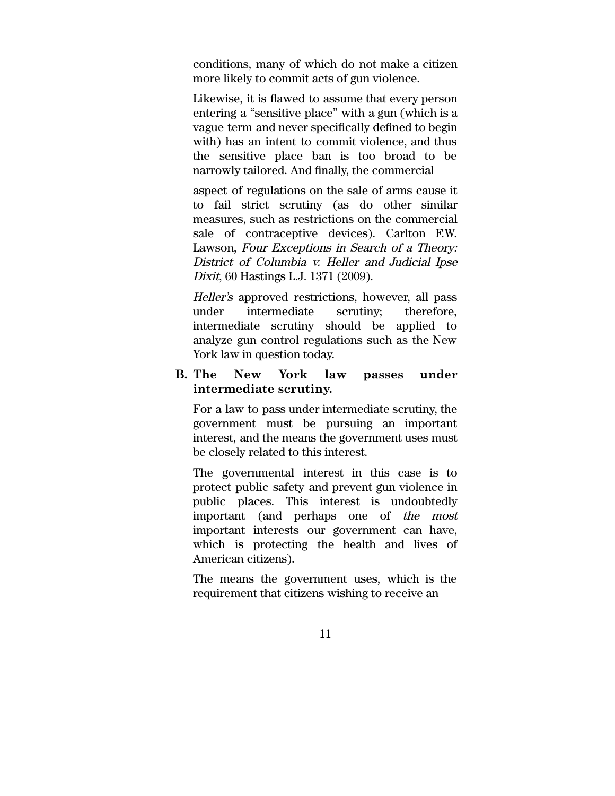conditions, many of which do not make a citizen more likely to commit acts of gun violence.

Likewise, it is flawed to assume that every person entering a "sensitive place" with a gun (which is a vague term and never specifically defined to begin with) has an intent to commit violence, and thus the sensitive place ban is too broad to be narrowly tailored. And finally, the commercial

aspect of regulations on the sale of arms cause it to fail strict scrutiny (as do other similar measures, such as restrictions on the commercial sale of contraceptive devices). Carlton F.W. Lawson, Four Exceptions in Search of <sup>a</sup> Theory: District of Columbia v. Heller and Judicial Ipse Dixit, 60 Hastings L.J. 1371 (2009).

Heller's approved restrictions, however, all pass under intermediate scrutiny; therefore, intermediate scrutiny should be applied to analyze gun control regulations such as the New York law in question today.

## **B. The New York law passes under intermediate scrutiny.**

For a law to pass under intermediate scrutiny, the government must be pursuing an important interest, and the means the government uses must be closely related to this interest.

The governmental interest in this case is to protect public safety and prevent gun violence in public places. This interest is undoubtedly important (and perhaps one of the most important interests our government can have, which is protecting the health and lives of American citizens).

The means the government uses, which is the requirement that citizens wishing to receive an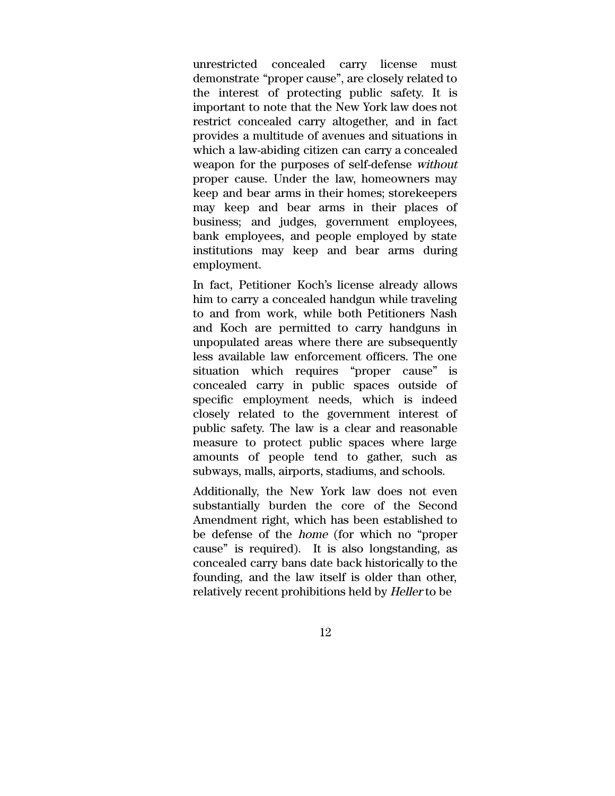unrestricted concealed carry license must demonstrate "proper cause", are closely related to the interest of protecting public safety. It is important to note that the New York law does not restrict concealed carry altogether, and in fact provides a multitude of avenues and situations in which a law-abiding citizen can carry a concealed weapon for the purposes of self-defense without proper cause. Under the law, homeowners may keep and bear arms in their homes; storekeepers may keep and bear arms in their places of business; and judges, government employees, bank employees, and people employed by state institutions may keep and bear arms during employment.

In fact, Petitioner Koch's license already allows him to carry a concealed handgun while traveling to and from work, while both Petitioners Nash and Koch are permitted to carry handguns in unpopulated areas where there are subsequently less available law enforcement officers. The one situation which requires "proper cause" is concealed carry in public spaces outside of specific employment needs, which is indeed closely related to the government interest of public safety. The law is a clear and reasonable measure to protect public spaces where large amounts of people tend to gather, such as subways, malls, airports, stadiums, and schools.

Additionally, the New York law does not even substantially burden the core of the Second Amendment right, which has been established to be defense of the home (for which no "proper cause" is required). It is also longstanding, as concealed carry bans date back historically to the founding, and the law itself is older than other, relatively recent prohibitions held by Heller to be